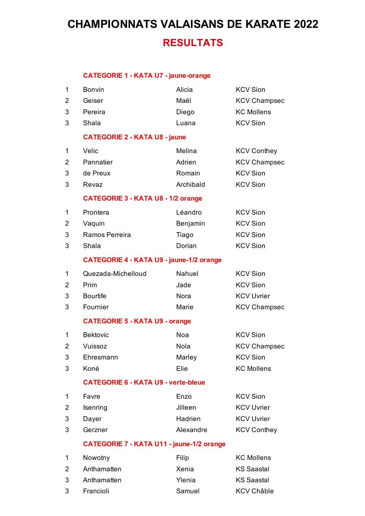#### **CATEGORIE 1 - KATA U7 - jaune-orange**

| 1 | Bonvin                                          | Alicia                                           | <b>KCV Sion</b>     |  |
|---|-------------------------------------------------|--------------------------------------------------|---------------------|--|
| 2 | Geiser                                          | Maël                                             | <b>KCV Champsec</b> |  |
| 3 | Pereira                                         | Diego                                            | <b>KC Mollens</b>   |  |
| 3 | Shala                                           | Luana                                            | <b>KCV Sion</b>     |  |
|   | <b>CATEGORIE 2 - KATA U8 - jaune</b>            |                                                  |                     |  |
| 1 | Velic                                           | Melina                                           | <b>KCV Conthey</b>  |  |
| 2 | Pannatier                                       | Adrien                                           | <b>KCV Champsec</b> |  |
| 3 | de Preux                                        | Romain                                           | <b>KCV Sion</b>     |  |
| 3 | Revaz                                           | Archibald                                        | <b>KCV Sion</b>     |  |
|   | <b>CATEGORIE 3 - KATA U8 - 1/2 orange</b>       |                                                  |                     |  |
| 1 | Prontera                                        | Léandro                                          | <b>KCV Sion</b>     |  |
| 2 | Vaquin                                          | Benjamin                                         | <b>KCV Sion</b>     |  |
| 3 | Ramos Perreira                                  | Tiago                                            | <b>KCV Sion</b>     |  |
| 3 | Shala                                           | Dorian                                           | <b>KCV Sion</b>     |  |
|   | <b>CATEGORIE 4 - KATA U9 - jaune-1/2 orange</b> |                                                  |                     |  |
| 1 | Quezada-Michelloud                              | Nahuel                                           | <b>KCV Sion</b>     |  |
| 2 | Prim                                            | Jade                                             | <b>KCV Sion</b>     |  |
| 3 | <b>Bourtife</b>                                 | Nora                                             | <b>KCV Uvrier</b>   |  |
| 3 | Fournier                                        | Marie                                            | <b>KCV Champsec</b> |  |
|   | <b>CATEGORIE 5 - KATA U9 - orange</b>           |                                                  |                     |  |
| 1 | <b>Bektovic</b>                                 | Noa                                              | <b>KCV Sion</b>     |  |
| 2 | Vuissoz                                         | Nola                                             | <b>KCV Champsec</b> |  |
| 3 | Ehresmann                                       | Marley                                           | <b>KCV Sion</b>     |  |
| 3 | Koné                                            | Elie                                             | <b>KC Mollens</b>   |  |
|   | <b>CATEGORIE 6 - KATA U9 - verte-bleue</b>      |                                                  |                     |  |
| 1 | Favre                                           | Enzo                                             | <b>KCV Sion</b>     |  |
| 2 | Isenring                                        | Jilleen                                          | <b>KCV Uvrier</b>   |  |
| 3 | Dayer                                           | Hadrien                                          | <b>KCV Uvrier</b>   |  |
| 3 | Gerzner                                         | Alexandre                                        | <b>KCV Conthey</b>  |  |
|   |                                                 | <b>CATEGORIE 7 - KATA U11 - jaune-1/2 orange</b> |                     |  |
| 1 | Nowotny                                         | Filip                                            | <b>KC Mollens</b>   |  |
| 2 | Anthamatten                                     | Xenia                                            | <b>KS Saastal</b>   |  |
| 3 | Anthamatten                                     | Ylenia                                           | <b>KS Saastal</b>   |  |

- Francioli Samuel KCV Châble
-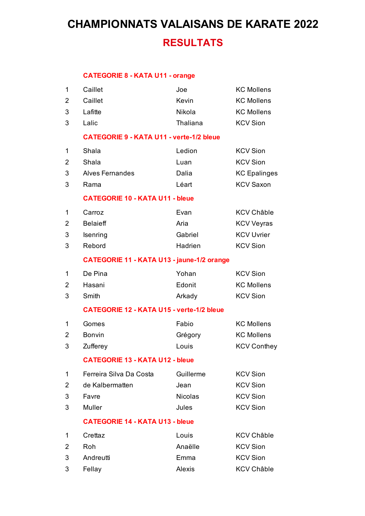#### **CATEGORIE 8 - KATA U11 - orange**

| 1              | Caillet                                           | Joe                                             | <b>KC Mollens</b>   |  |  |
|----------------|---------------------------------------------------|-------------------------------------------------|---------------------|--|--|
| $\overline{2}$ | Caillet                                           | Kevin                                           | <b>KC Mollens</b>   |  |  |
| 3              | Lafitte                                           | Nikola                                          | <b>KC Mollens</b>   |  |  |
| 3              | Lalic                                             | Thaliana                                        | <b>KCV Sion</b>     |  |  |
|                |                                                   | <b>CATEGORIE 9 - KATA U11 - verte-1/2 bleue</b> |                     |  |  |
| 1              | Shala                                             | Ledion                                          | <b>KCV Sion</b>     |  |  |
| 2              | Shala                                             | Luan                                            | <b>KCV Sion</b>     |  |  |
| 3              | <b>Alves Fernandes</b>                            | Dalia                                           | <b>KC Epalinges</b> |  |  |
| 3              | Rama                                              | Léart                                           | <b>KCV Saxon</b>    |  |  |
|                | <b>CATEGORIE 10 - KATA U11 - bleue</b>            |                                                 |                     |  |  |
| 1              | Carroz                                            | Evan                                            | <b>KCV Châble</b>   |  |  |
| 2              | <b>Belaieff</b>                                   | Aria                                            | <b>KCV Veyras</b>   |  |  |
| 3              | Isenring                                          | Gabriel                                         | <b>KCV Uvrier</b>   |  |  |
| 3              | Rebord                                            | Hadrien                                         | <b>KCV Sion</b>     |  |  |
|                | <b>CATEGORIE 11 - KATA U13 - jaune-1/2 orange</b> |                                                 |                     |  |  |
| 1              | De Pina                                           | Yohan                                           | <b>KCV Sion</b>     |  |  |
| $\overline{2}$ | Hasani                                            | Edonit                                          | <b>KC Mollens</b>   |  |  |
| 3              | Smith                                             | Arkady                                          | <b>KCV Sion</b>     |  |  |
|                | <b>CATEGORIE 12 - KATA U15 - verte-1/2 bleue</b>  |                                                 |                     |  |  |
| 1              | Gomes                                             | Fabio                                           | <b>KC Mollens</b>   |  |  |
| 2              | <b>Bonvin</b>                                     | Grégory                                         | <b>KC Mollens</b>   |  |  |
| 3              | Zufferey                                          | Louis                                           | <b>KCV Conthey</b>  |  |  |
|                | <b>CATEGORIE 13 - KATA U12 - bleue</b>            |                                                 |                     |  |  |
| 1              | Ferreira Silva Da Costa                           | Guillerme                                       | <b>KCV Sion</b>     |  |  |
| 2              | de Kalbermatten                                   | Jean                                            | <b>KCV Sion</b>     |  |  |
| 3              | Favre                                             | <b>Nicolas</b>                                  | <b>KCV Sion</b>     |  |  |
| 3              | Muller                                            | Jules                                           | <b>KCV Sion</b>     |  |  |
|                | <b>CATEGORIE 14 - KATA U13 - bleue</b>            |                                                 |                     |  |  |
| 1              | Crettaz                                           | Louis                                           | <b>KCV Châble</b>   |  |  |
| 2              | Roh                                               | Anaëlle                                         | <b>KCV Sion</b>     |  |  |
| 3              | Andreutti                                         | Emma                                            | <b>KCV Sion</b>     |  |  |
| 3              | Fellay                                            | Alexis                                          | <b>KCV Châble</b>   |  |  |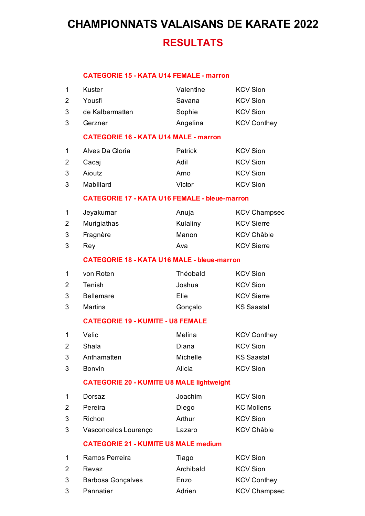#### **CATEGORIE 15 - KATA U14 FEMALE - marron**

| 1              | Kuster                                             | Valentine                                            | <b>KCV Sion</b>     |  |  |
|----------------|----------------------------------------------------|------------------------------------------------------|---------------------|--|--|
| $\overline{2}$ | Yousfi                                             | Savana                                               | <b>KCV Sion</b>     |  |  |
| 3              | de Kalbermatten                                    | Sophie                                               | <b>KCV Sion</b>     |  |  |
| 3              | Gerzner                                            | Angelina                                             | <b>KCV Conthey</b>  |  |  |
|                |                                                    | <b>CATEGORIE 16 - KATA U14 MALE - marron</b>         |                     |  |  |
| 1              | Alves Da Gloria                                    | Patrick                                              | <b>KCV Sion</b>     |  |  |
| 2              | Cacaj                                              | Adil                                                 | <b>KCV Sion</b>     |  |  |
| 3              | Aioutz                                             | Arno                                                 | <b>KCV Sion</b>     |  |  |
| 3              | Mabillard                                          | Victor                                               | <b>KCV Sion</b>     |  |  |
|                |                                                    | <b>CATEGORIE 17 - KATA U16 FEMALE - bleue-marron</b> |                     |  |  |
| 1              | Jeyakumar                                          | Anuja                                                | <b>KCV Champsec</b> |  |  |
| 2              | Murigiathas                                        | Kulaliny                                             | <b>KCV Sierre</b>   |  |  |
| 3              | Fragnère                                           | Manon                                                | <b>KCV Châble</b>   |  |  |
| 3              | Rey                                                | Ava                                                  | <b>KCV Sierre</b>   |  |  |
|                | <b>CATEGORIE 18 - KATA U16 MALE - bleue-marron</b> |                                                      |                     |  |  |
| 1              | von Roten                                          | Théobald                                             | <b>KCV Sion</b>     |  |  |
| $\overline{2}$ | Tenish                                             | Joshua                                               | <b>KCV Sion</b>     |  |  |
| 3              | <b>Bellemare</b>                                   | Elie                                                 | <b>KCV Sierre</b>   |  |  |
| 3              | <b>Martins</b>                                     | Gonçalo                                              | <b>KS Saastal</b>   |  |  |
|                | <b>CATEGORIE 19 - KUMITE - U8 FEMALE</b>           |                                                      |                     |  |  |
| 1              | Velic                                              | Melina                                               | <b>KCV Conthey</b>  |  |  |
| $\overline{2}$ | Shala                                              | Diana                                                | <b>KCV Sion</b>     |  |  |
| 3              | Anthamatten                                        | Michelle                                             | <b>KS Saastal</b>   |  |  |
| 3              | Bonvin                                             | Alicia                                               | <b>KCV Sion</b>     |  |  |
|                | <b>CATEGORIE 20 - KUMITE U8 MALE lightweight</b>   |                                                      |                     |  |  |
| 1              | Dorsaz                                             | Joachim                                              | <b>KCV Sion</b>     |  |  |
| 2              | Pereira                                            | Diego                                                | <b>KC Mollens</b>   |  |  |
| 3              | Richon                                             | Arthur                                               | <b>KCV Sion</b>     |  |  |
| 3              | Vasconcelos Lourenço                               | Lazaro                                               | <b>KCV Châble</b>   |  |  |
|                | <b>CATEGORIE 21 - KUMITE U8 MALE medium</b>        |                                                      |                     |  |  |
| 1              | Ramos Perreira                                     | Tiago                                                | <b>KCV Sion</b>     |  |  |
| 2              | Revaz                                              | Archibald                                            | <b>KCV Sion</b>     |  |  |
| 3              | <b>Barbosa Gonçalves</b>                           | Enzo                                                 | <b>KCV Conthey</b>  |  |  |
| 3              | Pannatier                                          | Adrien                                               | <b>KCV Champsec</b> |  |  |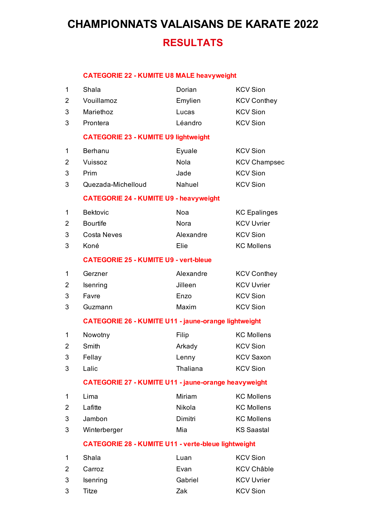#### **CATEGORIE 22 - KUMITE U8 MALE heavyweight**

| 1 | Shala                                                       | Dorian      | <b>KCV Sion</b>     |  |
|---|-------------------------------------------------------------|-------------|---------------------|--|
| 2 | Vouillamoz                                                  | Emylien     | <b>KCV Conthey</b>  |  |
| 3 | Mariethoz                                                   | Lucas       | <b>KCV Sion</b>     |  |
| 3 | Prontera                                                    | Léandro     | <b>KCV Sion</b>     |  |
|   | <b>CATEGORIE 23 - KUMITE U9 lightweight</b>                 |             |                     |  |
| 1 | Berhanu                                                     | Eyuale      | <b>KCV Sion</b>     |  |
| 2 | Vuissoz                                                     | Nola        | <b>KCV Champsec</b> |  |
| 3 | Prim                                                        | Jade        | <b>KCV Sion</b>     |  |
| 3 | Quezada-Michelloud                                          | Nahuel      | <b>KCV Sion</b>     |  |
|   | <b>CATEGORIE 24 - KUMITE U9 - heavyweight</b>               |             |                     |  |
| 1 | <b>Bektovic</b>                                             | Noa         | <b>KC</b> Epalinges |  |
| 2 | <b>Bourtife</b>                                             | <b>Nora</b> | <b>KCV Uvrier</b>   |  |
| 3 | <b>Costa Neves</b>                                          | Alexandre   | <b>KCV Sion</b>     |  |
| 3 | Koné                                                        | Elie        | <b>KC Mollens</b>   |  |
|   | <b>CATEGORIE 25 - KUMITE U9 - vert-bleue</b>                |             |                     |  |
| 1 | Gerzner                                                     | Alexandre   | <b>KCV Conthey</b>  |  |
| 2 | Isenring                                                    | Jilleen     | <b>KCV Uvrier</b>   |  |
| 3 | Favre                                                       | Enzo        | <b>KCV Sion</b>     |  |
| 3 | Guzmann                                                     | Maxim       | <b>KCV Sion</b>     |  |
|   | <b>CATEGORIE 26 - KUMITE U11 - jaune-orange lightweight</b> |             |                     |  |
| 1 | Nowotny                                                     | Filip       | <b>KC Mollens</b>   |  |
| 2 | Smith                                                       | Arkady      | <b>KCV Sion</b>     |  |
| 3 | Fellay                                                      | Lenny       | <b>KCV Saxon</b>    |  |
| 3 | Lalic                                                       | Thaliana    | <b>KCV Sion</b>     |  |
|   | <b>CATEGORIE 27 - KUMITE U11 - jaune-orange heavyweight</b> |             |                     |  |
| 1 | Lima                                                        | Miriam      | <b>KC Mollens</b>   |  |
| 2 | Lafitte                                                     | Nikola      | <b>KC Mollens</b>   |  |
| 3 | Jambon                                                      | Dimitri     | <b>KC Mollens</b>   |  |
| 3 | Winterberger                                                | Mia         | <b>KS Saastal</b>   |  |
|   | <b>CATEGORIE 28 - KUMITE U11 - verte-bleue lightweight</b>  |             |                     |  |
| 1 | Shala                                                       | Luan        | <b>KCV Sion</b>     |  |
| 2 | Carroz                                                      | Evan        | <b>KCV Châble</b>   |  |
| 3 | Isenring                                                    | Gabriel     | <b>KCV Uvrier</b>   |  |

3 Titze **Zak** KCV Sion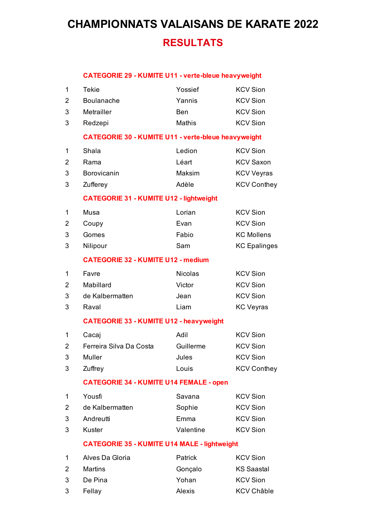#### **CATEGORIE 29 - KUMITE U11 - verte-bleue heavyweight**

| 1              | <b>Tekie</b>                                        | Yossief                                                    | <b>KCV Sion</b>     |  |  |
|----------------|-----------------------------------------------------|------------------------------------------------------------|---------------------|--|--|
| $\overline{2}$ | <b>Boulanache</b>                                   | Yannis                                                     | <b>KCV Sion</b>     |  |  |
| 3              | Metrailler                                          | Ben                                                        | <b>KCV Sion</b>     |  |  |
| 3              | Redzepi                                             | Mathis                                                     | <b>KCV Sion</b>     |  |  |
|                |                                                     | <b>CATEGORIE 30 - KUMITE U11 - verte-bleue heavyweight</b> |                     |  |  |
| 1              | Shala                                               | Ledion                                                     | <b>KCV Sion</b>     |  |  |
| 2              | Rama                                                | Léart                                                      | <b>KCV Saxon</b>    |  |  |
| 3              | Borovicanin                                         | Maksim                                                     | <b>KCV Veyras</b>   |  |  |
| 3              | Zufferey                                            | Adèle                                                      | <b>KCV Conthey</b>  |  |  |
|                |                                                     | <b>CATEGORIE 31 - KUMITE U12 - lightweight</b>             |                     |  |  |
| 1              | Musa                                                | Lorian                                                     | <b>KCV Sion</b>     |  |  |
| 2              | Coupy                                               | Evan                                                       | <b>KCV Sion</b>     |  |  |
| 3              | Gomes                                               | Fabio                                                      | <b>KC Mollens</b>   |  |  |
| 3              | Nilipour                                            | Sam                                                        | <b>KC Epalinges</b> |  |  |
|                | <b>CATEGORIE 32 - KUMITE U12 - medium</b>           |                                                            |                     |  |  |
| 1              | Favre                                               | <b>Nicolas</b>                                             | <b>KCV Sion</b>     |  |  |
| $\overline{2}$ | Mabillard                                           | Victor                                                     | <b>KCV Sion</b>     |  |  |
| 3              | de Kalbermatten                                     | Jean                                                       | <b>KCV Sion</b>     |  |  |
| 3              | Raval                                               | Liam                                                       | <b>KC Veyras</b>    |  |  |
|                | <b>CATEGORIE 33 - KUMITE U12 - heavyweight</b>      |                                                            |                     |  |  |
| 1              | Cacaj                                               | Adil                                                       | <b>KCV Sion</b>     |  |  |
| 2              | Ferreira Silva Da Costa                             | Guillerme                                                  | <b>KCV Sion</b>     |  |  |
| 3              | Muller                                              | Jules                                                      | <b>KCV Sion</b>     |  |  |
| 3              | Zuffrey                                             | Louis                                                      | <b>KCV Conthey</b>  |  |  |
|                | <b>CATEGORIE 34 - KUMITE U14 FEMALE - open</b>      |                                                            |                     |  |  |
| 1              | Yousfi                                              | Savana                                                     | <b>KCV Sion</b>     |  |  |
| 2              | de Kalbermatten                                     | Sophie                                                     | <b>KCV Sion</b>     |  |  |
| 3              | Andreutti                                           | Emma                                                       | <b>KCV Sion</b>     |  |  |
| 3              | Kuster                                              | Valentine                                                  | <b>KCV Sion</b>     |  |  |
|                | <b>CATEGORIE 35 - KUMITE U14 MALE - lightweight</b> |                                                            |                     |  |  |
| 1              | Alves Da Gloria                                     | Patrick                                                    | <b>KCV Sion</b>     |  |  |
| 2              | <b>Martins</b>                                      | Gonçalo                                                    | <b>KS Saastal</b>   |  |  |
| 3              | De Pina                                             | Yohan                                                      | <b>KCV Sion</b>     |  |  |
| 3              | Fellay                                              | Alexis                                                     | <b>KCV Châble</b>   |  |  |